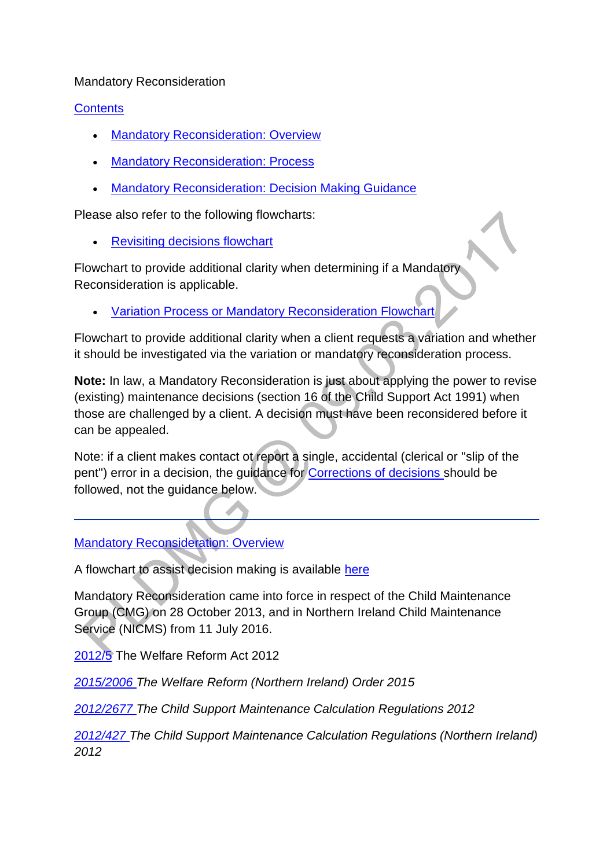#### Mandatory Reconsideration

#### **[Contents](http://np-cmg-sharepoint.link2.gpn.gov.uk/sites/policy-law-and-decision-making-guidance/Pages)**

- [Mandatory Reconsideration: Overview](http://np-cmg-sharepoint.link2.gpn.gov.uk/sites/policy-law-and-decision-making-guidance/Pages/Mandatory-Reconsideration.aspx#overview)
- [Mandatory Reconsideration: Process](http://np-cmg-sharepoint.link2.gpn.gov.uk/sites/policy-law-and-decision-making-guidance/Pages/Mandatory-Reconsideration.aspx#process)
- [Mandatory Reconsideration: Decision Making Guidance](http://np-cmg-sharepoint.link2.gpn.gov.uk/sites/policy-law-and-decision-making-guidance/Pages/Mandatory-Reconsideration.aspx#dmg)

Please also refer to the following flowcharts:

[Revisiting decisions flowchart](http://np-cmg-sharepoint.link2.gpn.gov.uk/sites/policy-law-and-decision-making-guidance/Pages/Revisiting-decisions-flowchart.aspx)

Flowchart to provide additional clarity when determining if a Mandatory Reconsideration is applicable.

[Variation Process or Mandatory Reconsideration Flowchart](http://np-cmg-sharepoint.link2.gpn.gov.uk/sites/policy-law-and-decision-making-guidance/Pages/Variation%20Process%20or%20Mandatory-Reconsideration-Flowchart.aspx)

Flowchart to provide additional clarity when a client requests a variation and whether it should be investigated via the variation or mandatory reconsideration process.

**Note:** In law, a Mandatory Reconsideration is just about applying the power to revise (existing) maintenance decisions (section 16 of the Child Support Act 1991) when those are challenged by a client. A decision must have been reconsidered before it can be appealed.

Note: if a client makes contact ot report a single, accidental (clerical or ''slip of the pent") error in a decision, the guidance for [Corrections of decisions s](http://np-cmg-sharepoint.link2.gpn.gov.uk/sites/policy-law-and-decision-making-guidance/Pages/Corrections-of-decisions.aspx)hould be followed, not the guidance below.

[Mandatory Reconsideration: Overview](http://np-cmg-sharepoint.link2.gpn.gov.uk/sites/policy-law-and-decision-making-guidance/Pages)

A flowchart to assist decision making is available [here](http://np-cmg-sharepoint.link2.gpn.gov.uk/sites/policy-law-and-decision-making-guidance/Pages/Mandatory-Reconsideration-Flowchart.aspx)

Mandatory Reconsideration came into force in respect of the Child Maintenance Group (CMG) on 28 October 2013, and in Northern Ireland Child Maintenance Service (NICMS) from 11 July 2016.

[2012/5](http://www.legislation.gov.uk/ukpga/2012/5/contents) The Welfare Reform Act 2012

*[2015/2006 T](http://www.legislation.gov.uk/nisi/2015/2006/contents)he Welfare Reform (Northern Ireland) Order 2015*

*[2012/2677 T](http://www.legislation.gov.uk/uksi/2012/2677)he Child Support Maintenance Calculation Regulations 2012*

*[2012/427 T](http://www.legislation.gov.uk/nisr/2012/427/contents/made)he Child Support Maintenance Calculation Regulations (Northern Ireland) 2012*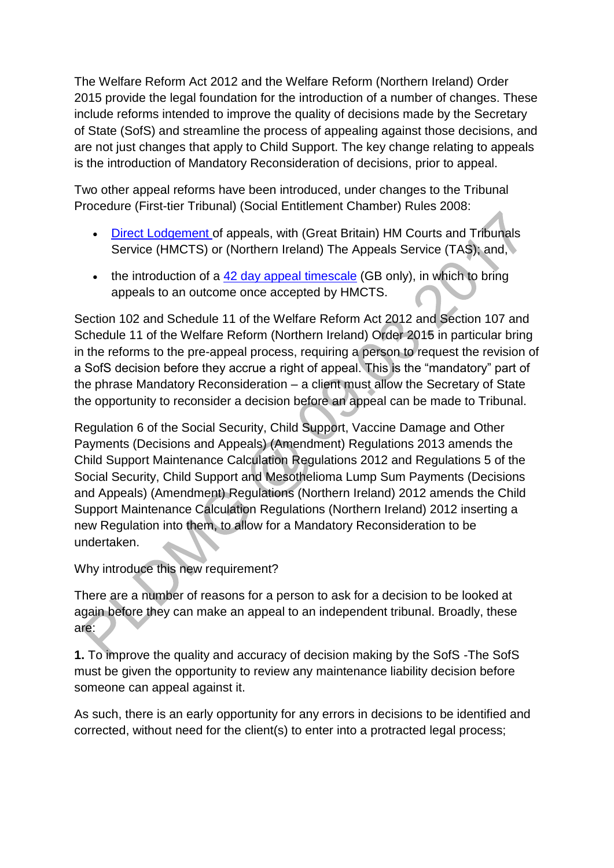The Welfare Reform Act 2012 and the Welfare Reform (Northern Ireland) Order 2015 provide the legal foundation for the introduction of a number of changes. These include reforms intended to improve the quality of decisions made by the Secretary of State (SofS) and streamline the process of appealing against those decisions, and are not just changes that apply to Child Support. The key change relating to appeals is the introduction of Mandatory Reconsideration of decisions, prior to appeal.

Two other appeal reforms have been introduced, under changes to the Tribunal Procedure (First-tier Tribunal) (Social Entitlement Chamber) Rules 2008:

- [Direct Lodgement o](http://np-cmg-sharepoint.link2.gpn.gov.uk/sites/policy-law-and-decision-making-guidance/Pages/Direct-Lodgement.aspx)f appeals, with (Great Britain) HM Courts and Tribunals Service (HMCTS) or (Northern Ireland) The Appeals Service (TAS); and,
- the introduction of a [42 day appeal timescale](http://np-cmg-sharepoint.link2.gpn.gov.uk/sites/policy-law-and-decision-making-guidance/Pages/42-day-appeal-timescales.aspx) (GB only), in which to bring appeals to an outcome once accepted by HMCTS.

Section 102 and Schedule 11 of the Welfare Reform Act 2012 and Section 107 and Schedule 11 of the Welfare Reform (Northern Ireland) Order 2015 in particular bring in the reforms to the pre-appeal process, requiring a person to request the revision of a SofS decision before they accrue a right of appeal. This is the "mandatory" part of the phrase Mandatory Reconsideration – a client must allow the Secretary of State the opportunity to reconsider a decision before an appeal can be made to Tribunal.

Regulation 6 of the Social Security, Child Support, Vaccine Damage and Other Payments (Decisions and Appeals) (Amendment) Regulations 2013 amends the Child Support Maintenance Calculation Regulations 2012 and Regulations 5 of the Social Security, Child Support and Mesothelioma Lump Sum Payments (Decisions and Appeals) (Amendment) Regulations (Northern Ireland) 2012 amends the Child Support Maintenance Calculation Regulations (Northern Ireland) 2012 inserting a new Regulation into them, to allow for a Mandatory Reconsideration to be undertaken.

# Why introduce this new requirement?

There are a number of reasons for a person to ask for a decision to be looked at again before they can make an appeal to an independent tribunal. Broadly, these are:

**1.** To improve the quality and accuracy of decision making by the SofS -The SofS must be given the opportunity to review any maintenance liability decision before someone can appeal against it.

As such, there is an early opportunity for any errors in decisions to be identified and corrected, without need for the client(s) to enter into a protracted legal process;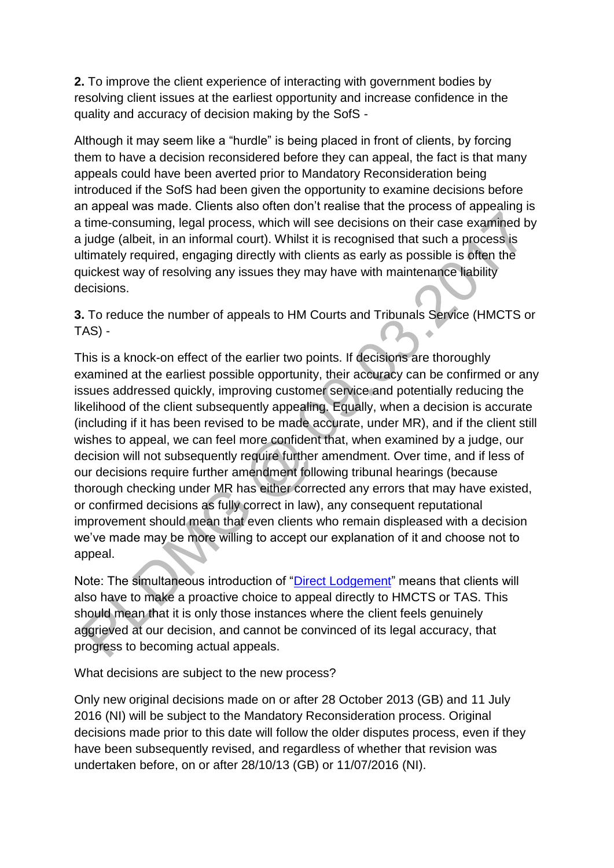**2.** To improve the client experience of interacting with government bodies by resolving client issues at the earliest opportunity and increase confidence in the quality and accuracy of decision making by the SofS -

Although it may seem like a "hurdle" is being placed in front of clients, by forcing them to have a decision reconsidered before they can appeal, the fact is that many appeals could have been averted prior to Mandatory Reconsideration being introduced if the SofS had been given the opportunity to examine decisions before an appeal was made. Clients also often don't realise that the process of appealing is a time-consuming, legal process, which will see decisions on their case examined by a judge (albeit, in an informal court). Whilst it is recognised that such a process is ultimately required, engaging directly with clients as early as possible is often the quickest way of resolving any issues they may have with maintenance liability decisions.

**3.** To reduce the number of appeals to HM Courts and Tribunals Service (HMCTS or TAS) -

This is a knock-on effect of the earlier two points. If decisions are thoroughly examined at the earliest possible opportunity, their accuracy can be confirmed or any issues addressed quickly, improving customer service and potentially reducing the likelihood of the client subsequently appealing. Equally, when a decision is accurate (including if it has been revised to be made accurate, under MR), and if the client still wishes to appeal, we can feel more confident that, when examined by a judge, our decision will not subsequently require further amendment. Over time, and if less of our decisions require further amendment following tribunal hearings (because thorough checking under MR has either corrected any errors that may have existed, or confirmed decisions as fully correct in law), any consequent reputational improvement should mean that even clients who remain displeased with a decision we've made may be more willing to accept our explanation of it and choose not to appeal.

Note: The simultaneous introduction of ["Direct Lodgement"](http://np-cmg-sharepoint.link2.gpn.gov.uk/sites/policy-law-and-decision-making-guidance/Pages/Direct-Lodgement.aspx) means that clients will also have to make a proactive choice to appeal directly to HMCTS or TAS. This should mean that it is only those instances where the client feels genuinely aggrieved at our decision, and cannot be convinced of its legal accuracy, that progress to becoming actual appeals.

What decisions are subject to the new process?

Only new original decisions made on or after 28 October 2013 (GB) and 11 July 2016 (NI) will be subject to the Mandatory Reconsideration process. Original decisions made prior to this date will follow the older disputes process, even if they have been subsequently revised, and regardless of whether that revision was undertaken before, on or after 28/10/13 (GB) or 11/07/2016 (NI).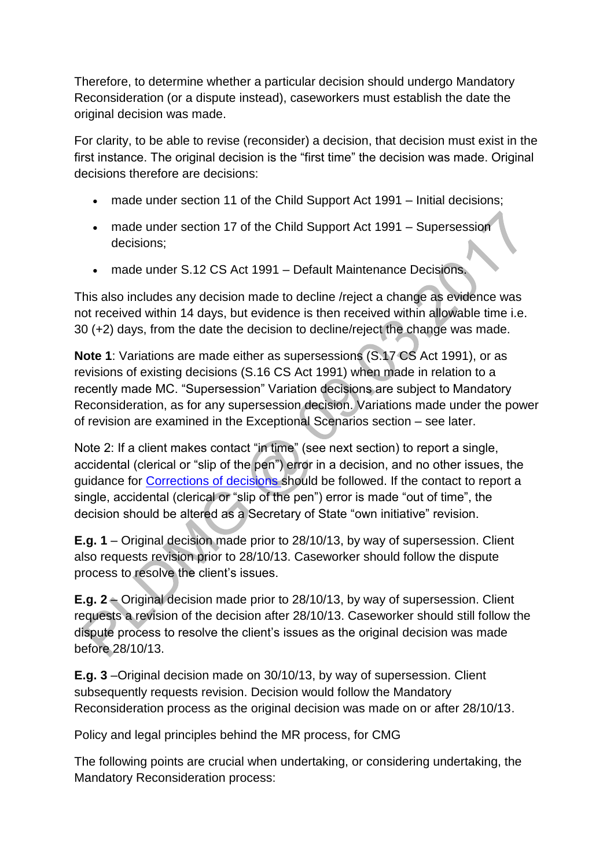Therefore, to determine whether a particular decision should undergo Mandatory Reconsideration (or a dispute instead), caseworkers must establish the date the original decision was made.

For clarity, to be able to revise (reconsider) a decision, that decision must exist in the first instance. The original decision is the "first time" the decision was made. Original decisions therefore are decisions:

- made under section 11 of the Child Support Act 1991 Initial decisions;
- made under section 17 of the Child Support Act 1991 Supersession decisions;
- made under S.12 CS Act 1991 Default Maintenance Decisions.

This also includes any decision made to decline /reject a change as evidence was not received within 14 days, but evidence is then received within allowable time i.e. 30 (+2) days, from the date the decision to decline/reject the change was made.

**Note 1**: Variations are made either as supersessions (S.17 CS Act 1991), or as revisions of existing decisions (S.16 CS Act 1991) when made in relation to a recently made MC. "Supersession" Variation decisions are subject to Mandatory Reconsideration, as for any supersession decision. Variations made under the power of revision are examined in the Exceptional Scenarios section – see later.

Note 2: If a client makes contact "in time" (see next section) to report a single, accidental (clerical or "slip of the pen") error in a decision, and no other issues, the guidance for [Corrections of decisions s](http://np-cmg-sharepoint.link2.gpn.gov.uk/sites/policy-law-and-decision-making-guidance/Pages/Corrections-of-decisions.aspx)hould be followed. If the contact to report a single, accidental (clerical or "slip of the pen") error is made "out of time", the decision should be altered as a Secretary of State "own initiative" revision.

**E.g. 1** – Original decision made prior to 28/10/13, by way of supersession. Client also requests revision prior to 28/10/13. Caseworker should follow the dispute process to resolve the client's issues.

**E.g. 2** – Original decision made prior to 28/10/13, by way of supersession. Client requests a revision of the decision after 28/10/13. Caseworker should still follow the dispute process to resolve the client's issues as the original decision was made before 28/10/13.

**E.g. 3** –Original decision made on 30/10/13, by way of supersession. Client subsequently requests revision. Decision would follow the Mandatory Reconsideration process as the original decision was made on or after 28/10/13.

Policy and legal principles behind the MR process, for CMG

The following points are crucial when undertaking, or considering undertaking, the Mandatory Reconsideration process: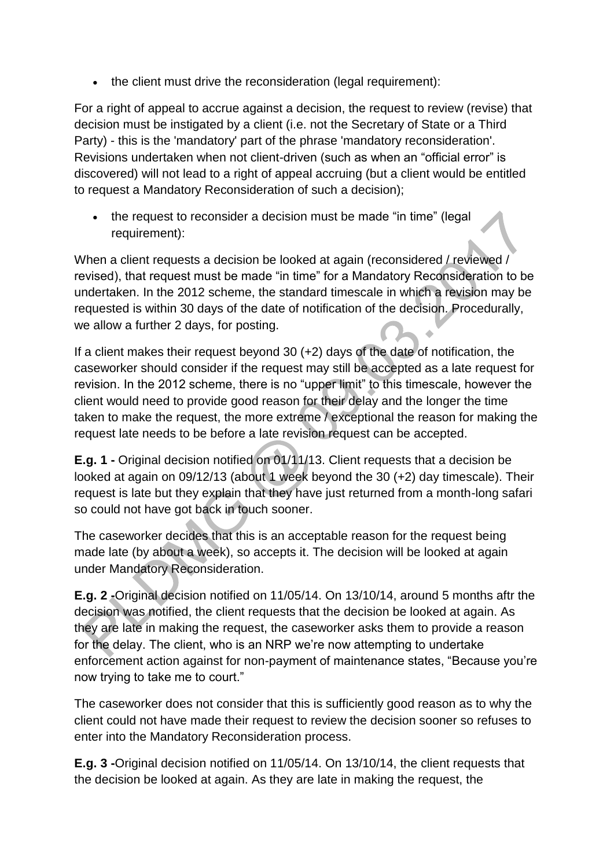• the client must drive the reconsideration (legal requirement):

For a right of appeal to accrue against a decision, the request to review (revise) that decision must be instigated by a client (i.e. not the Secretary of State or a Third Party) - this is the 'mandatory' part of the phrase 'mandatory reconsideration'. Revisions undertaken when not client-driven (such as when an "official error" is discovered) will not lead to a right of appeal accruing (but a client would be entitled to request a Mandatory Reconsideration of such a decision);

• the request to reconsider a decision must be made "in time" (legal requirement):

When a client requests a decision be looked at again (reconsidered / reviewed / revised), that request must be made "in time" for a Mandatory Reconsideration to be undertaken. In the 2012 scheme, the standard timescale in which a revision may be requested is within 30 days of the date of notification of the decision. Procedurally, we allow a further 2 days, for posting.  $\ddot{\phantom{a}}$ 

If a client makes their request beyond 30 (+2) days of the date of notification, the caseworker should consider if the request may still be accepted as a late request for revision. In the 2012 scheme, there is no "upper limit" to this timescale, however the client would need to provide good reason for their delay and the longer the time taken to make the request, the more extreme / exceptional the reason for making the request late needs to be before a late revision request can be accepted.

**E.g. 1 -** Original decision notified on 01/11/13. Client requests that a decision be looked at again on 09/12/13 (about 1 week beyond the 30 (+2) day timescale). Their request is late but they explain that they have just returned from a month-long safari so could not have got back in touch sooner.

The caseworker decides that this is an acceptable reason for the request being made late (by about a week), so accepts it. The decision will be looked at again under Mandatory Reconsideration.

**E.g. 2 -**Original decision notified on 11/05/14. On 13/10/14, around 5 months aftr the decision was notified, the client requests that the decision be looked at again. As they are late in making the request, the caseworker asks them to provide a reason for the delay. The client, who is an NRP we're now attempting to undertake enforcement action against for non-payment of maintenance states, "Because you're now trying to take me to court."

The caseworker does not consider that this is sufficiently good reason as to why the client could not have made their request to review the decision sooner so refuses to enter into the Mandatory Reconsideration process.

**E.g. 3 -**Original decision notified on 11/05/14. On 13/10/14, the client requests that the decision be looked at again. As they are late in making the request, the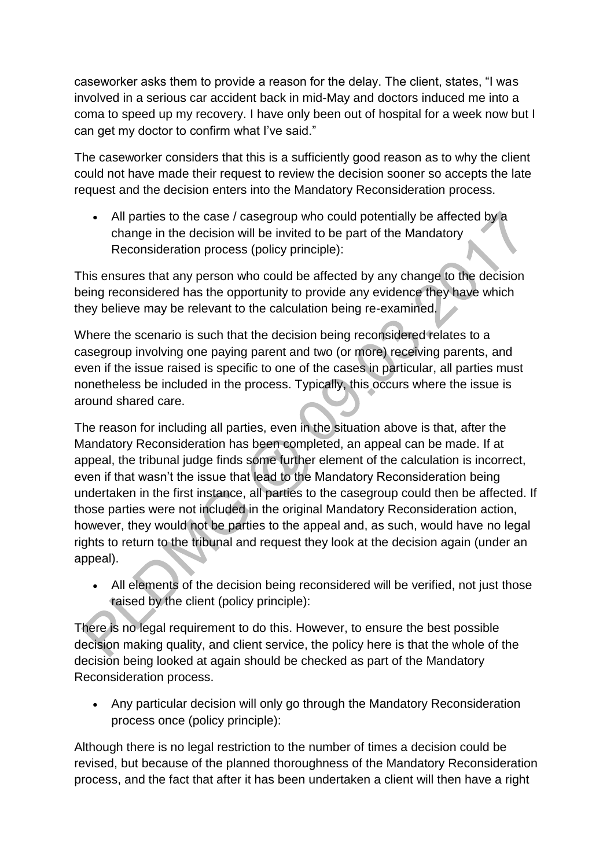caseworker asks them to provide a reason for the delay. The client, states, "I was involved in a serious car accident back in mid-May and doctors induced me into a coma to speed up my recovery. I have only been out of hospital for a week now but I can get my doctor to confirm what I've said."

The caseworker considers that this is a sufficiently good reason as to why the client could not have made their request to review the decision sooner so accepts the late request and the decision enters into the Mandatory Reconsideration process.

 All parties to the case / casegroup who could potentially be affected by a change in the decision will be invited to be part of the Mandatory Reconsideration process (policy principle):

This ensures that any person who could be affected by any change to the decision being reconsidered has the opportunity to provide any evidence they have which they believe may be relevant to the calculation being re-examined.

Where the scenario is such that the decision being reconsidered relates to a casegroup involving one paying parent and two (or more) receiving parents, and even if the issue raised is specific to one of the cases in particular, all parties must nonetheless be included in the process. Typically, this occurs where the issue is around shared care.

The reason for including all parties, even in the situation above is that, after the Mandatory Reconsideration has been completed, an appeal can be made. If at appeal, the tribunal judge finds some further element of the calculation is incorrect, even if that wasn't the issue that lead to the Mandatory Reconsideration being undertaken in the first instance, all parties to the casegroup could then be affected. If those parties were not included in the original Mandatory Reconsideration action, however, they would not be parties to the appeal and, as such, would have no legal rights to return to the tribunal and request they look at the decision again (under an appeal).

 All elements of the decision being reconsidered will be verified, not just those raised by the client (policy principle):

There is no legal requirement to do this. However, to ensure the best possible decision making quality, and client service, the policy here is that the whole of the decision being looked at again should be checked as part of the Mandatory Reconsideration process.

 Any particular decision will only go through the Mandatory Reconsideration process once (policy principle):

Although there is no legal restriction to the number of times a decision could be revised, but because of the planned thoroughness of the Mandatory Reconsideration process, and the fact that after it has been undertaken a client will then have a right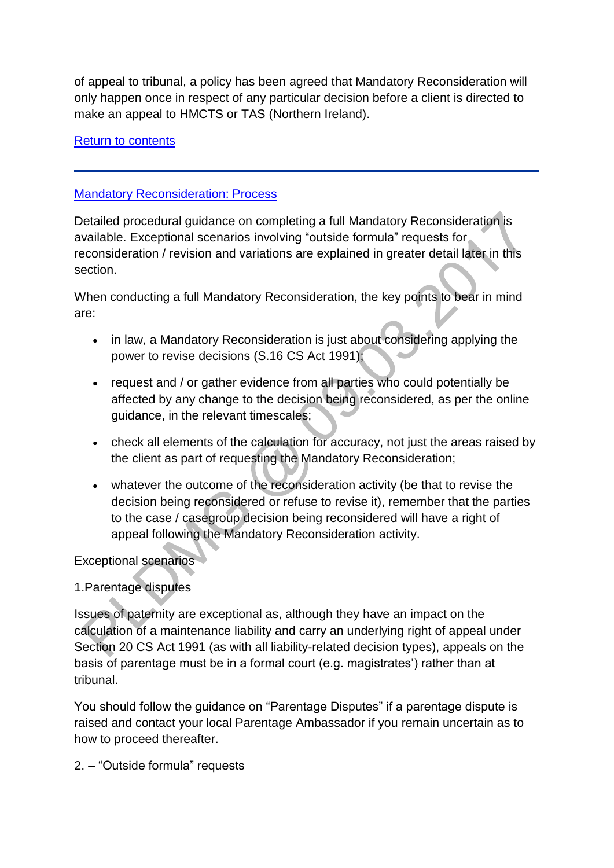of appeal to tribunal, a policy has been agreed that Mandatory Reconsideration will only happen once in respect of any particular decision before a client is directed to make an appeal to HMCTS or TAS (Northern Ireland).

### [Return to contents](http://np-cmg-sharepoint.link2.gpn.gov.uk/sites/policy-law-and-decision-making-guidance/Pages/Mandatory-Reconsideration.aspx#contents)

### **[Mandatory Reconsideration: Process](http://np-cmg-sharepoint.link2.gpn.gov.uk/sites/policy-law-and-decision-making-guidance/Pages)**

Detailed procedural guidance on completing a full Mandatory Reconsideration is available. Exceptional scenarios involving "outside formula" requests for reconsideration / revision and variations are explained in greater detail later in this section.

When conducting a full Mandatory Reconsideration, the key points to bear in mind are:

- in law, a Mandatory Reconsideration is just about considering applying the power to revise decisions (S.16 CS Act 1991);
- request and / or gather evidence from all parties who could potentially be affected by any change to the decision being reconsidered, as per the online guidance, in the relevant timescales;
- check all elements of the calculation for accuracy, not just the areas raised by the client as part of requesting the Mandatory Reconsideration;
- whatever the outcome of the reconsideration activity (be that to revise the decision being reconsidered or refuse to revise it), remember that the parties to the case / casegroup decision being reconsidered will have a right of appeal following the Mandatory Reconsideration activity.

Exceptional scenarios

# 1.Parentage disputes

Issues of paternity are exceptional as, although they have an impact on the calculation of a maintenance liability and carry an underlying right of appeal under Section 20 CS Act 1991 (as with all liability-related decision types), appeals on the basis of parentage must be in a formal court (e.g. magistrates') rather than at tribunal.

You should follow the guidance on "Parentage Disputes" if a parentage dispute is raised and contact your local Parentage Ambassador if you remain uncertain as to how to proceed thereafter.

2. – "Outside formula" requests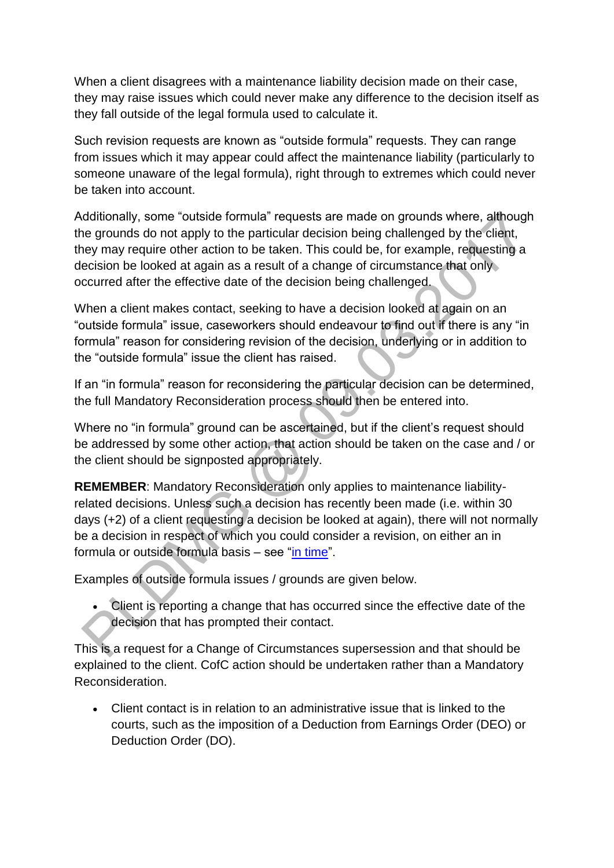When a client disagrees with a maintenance liability decision made on their case, they may raise issues which could never make any difference to the decision itself as they fall outside of the legal formula used to calculate it.

Such revision requests are known as "outside formula" requests. They can range from issues which it may appear could affect the maintenance liability (particularly to someone unaware of the legal formula), right through to extremes which could never be taken into account.

Additionally, some "outside formula" requests are made on grounds where, although the grounds do not apply to the particular decision being challenged by the client, they may require other action to be taken. This could be, for example, requesting a decision be looked at again as a result of a change of circumstance that only occurred after the effective date of the decision being challenged.

When a client makes contact, seeking to have a decision looked at again on an "outside formula" issue, caseworkers should endeavour to find out if there is any "in formula" reason for considering revision of the decision, underlying or in addition to the "outside formula" issue the client has raised.

If an "in formula" reason for reconsidering the particular decision can be determined, the full Mandatory Reconsideration process should then be entered into.

Where no "in formula" ground can be ascertained, but if the client's request should be addressed by some other action, that action should be taken on the case and / or the client should be signposted appropriately.

**REMEMBER**: Mandatory Reconsideration only applies to maintenance liabilityrelated decisions. Unless such a decision has recently been made (i.e. within 30 days (+2) of a client requesting a decision be looked at again), there will not normally be a decision in respect of which you could consider a revision, on either an in formula or outside formula basis – see ["in time"](http://np-cmg-sharepoint.link2.gpn.gov.uk/sites/policy-law-and-decision-making-guidance/Pages/Mandatory-Reconsideration.aspx#INtime).

Examples of outside formula issues / grounds are given below.

 Client is reporting a change that has occurred since the effective date of the decision that has prompted their contact.

This is a request for a Change of Circumstances supersession and that should be explained to the client. CofC action should be undertaken rather than a Mandatory Reconsideration.

 Client contact is in relation to an administrative issue that is linked to the courts, such as the imposition of a Deduction from Earnings Order (DEO) or Deduction Order (DO).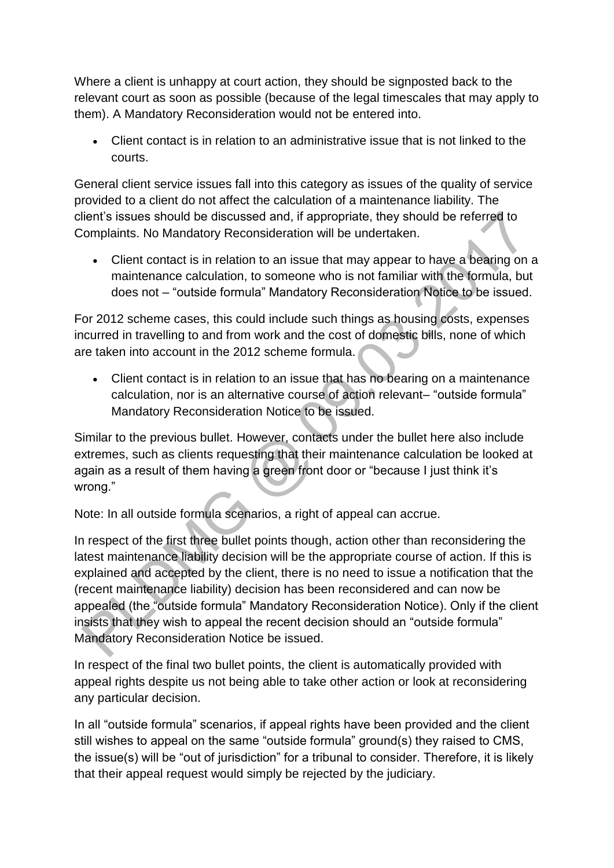Where a client is unhappy at court action, they should be signposted back to the relevant court as soon as possible (because of the legal timescales that may apply to them). A Mandatory Reconsideration would not be entered into.

 Client contact is in relation to an administrative issue that is not linked to the courts.

General client service issues fall into this category as issues of the quality of service provided to a client do not affect the calculation of a maintenance liability. The client's issues should be discussed and, if appropriate, they should be referred to Complaints. No Mandatory Reconsideration will be undertaken.

 Client contact is in relation to an issue that may appear to have a bearing on a maintenance calculation, to someone who is not familiar with the formula, but does not – "outside formula" Mandatory Reconsideration Notice to be issued.

For 2012 scheme cases, this could include such things as housing costs, expenses incurred in travelling to and from work and the cost of domestic bills, none of which are taken into account in the 2012 scheme formula.

 Client contact is in relation to an issue that has no bearing on a maintenance calculation, nor is an alternative course of action relevant– "outside formula" Mandatory Reconsideration Notice to be issued.

Similar to the previous bullet. However, contacts under the bullet here also include extremes, such as clients requesting that their maintenance calculation be looked at again as a result of them having a green front door or "because I just think it's wrong."

Note: In all outside formula scenarios, a right of appeal can accrue.

In respect of the first three bullet points though, action other than reconsidering the latest maintenance liability decision will be the appropriate course of action. If this is explained and accepted by the client, there is no need to issue a notification that the (recent maintenance liability) decision has been reconsidered and can now be appealed (the "outside formula" Mandatory Reconsideration Notice). Only if the client insists that they wish to appeal the recent decision should an "outside formula" Mandatory Reconsideration Notice be issued.

In respect of the final two bullet points, the client is automatically provided with appeal rights despite us not being able to take other action or look at reconsidering any particular decision.

In all "outside formula" scenarios, if appeal rights have been provided and the client still wishes to appeal on the same "outside formula" ground(s) they raised to CMS, the issue(s) will be "out of jurisdiction" for a tribunal to consider. Therefore, it is likely that their appeal request would simply be rejected by the judiciary.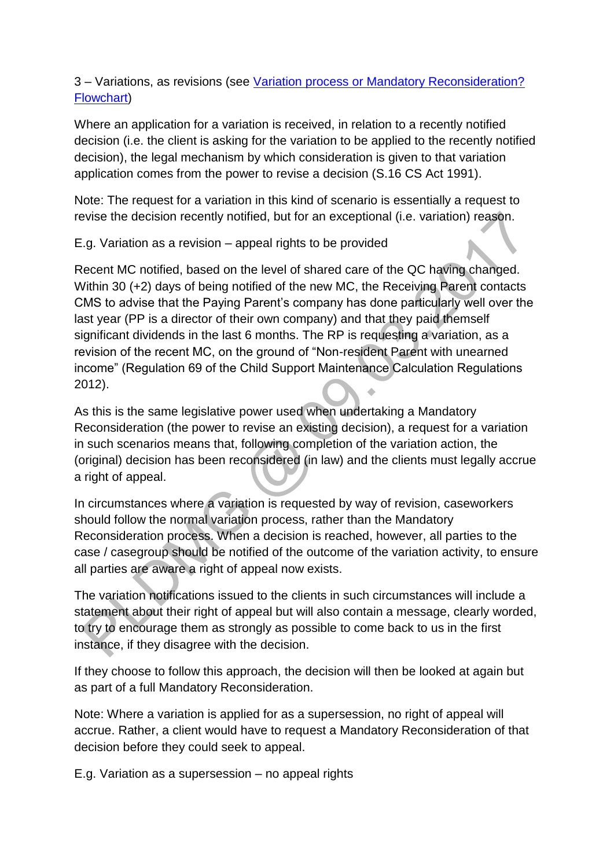### 3 – Variations, as revisions (see [Variation process or Mandatory Reconsideration?](http://np-cmg-sharepoint.link2.gpn.gov.uk/sites/policy-law-and-decision-making-guidance/Pages/Variation%20Process%20or%20Mandatory-Reconsideration-Flowchart.aspx)  [Flowchart\)](http://np-cmg-sharepoint.link2.gpn.gov.uk/sites/policy-law-and-decision-making-guidance/Pages/Variation%20Process%20or%20Mandatory-Reconsideration-Flowchart.aspx)

Where an application for a variation is received, in relation to a recently notified decision (i.e. the client is asking for the variation to be applied to the recently notified decision), the legal mechanism by which consideration is given to that variation application comes from the power to revise a decision (S.16 CS Act 1991).

Note: The request for a variation in this kind of scenario is essentially a request to revise the decision recently notified, but for an exceptional (i.e. variation) reason.

E.g. Variation as a revision – appeal rights to be provided

Recent MC notified, based on the level of shared care of the QC having changed. Within 30 (+2) days of being notified of the new MC, the Receiving Parent contacts CMS to advise that the Paying Parent's company has done particularly well over the last year (PP is a director of their own company) and that they paid themself significant dividends in the last 6 months. The RP is requesting a variation, as a revision of the recent MC, on the ground of "Non-resident Parent with unearned income" (Regulation 69 of the Child Support Maintenance Calculation Regulations 2012).

As this is the same legislative power used when undertaking a Mandatory Reconsideration (the power to revise an existing decision), a request for a variation in such scenarios means that, following completion of the variation action, the (original) decision has been reconsidered (in law) and the clients must legally accrue a right of appeal.

In circumstances where a variation is requested by way of revision, caseworkers should follow the normal variation process, rather than the Mandatory Reconsideration process. When a decision is reached, however, all parties to the case / casegroup should be notified of the outcome of the variation activity, to ensure all parties are aware a right of appeal now exists.

The variation notifications issued to the clients in such circumstances will include a statement about their right of appeal but will also contain a message, clearly worded, to try to encourage them as strongly as possible to come back to us in the first instance, if they disagree with the decision.

If they choose to follow this approach, the decision will then be looked at again but as part of a full Mandatory Reconsideration.

Note: Where a variation is applied for as a supersession, no right of appeal will accrue. Rather, a client would have to request a Mandatory Reconsideration of that decision before they could seek to appeal.

E.g. Variation as a supersession – no appeal rights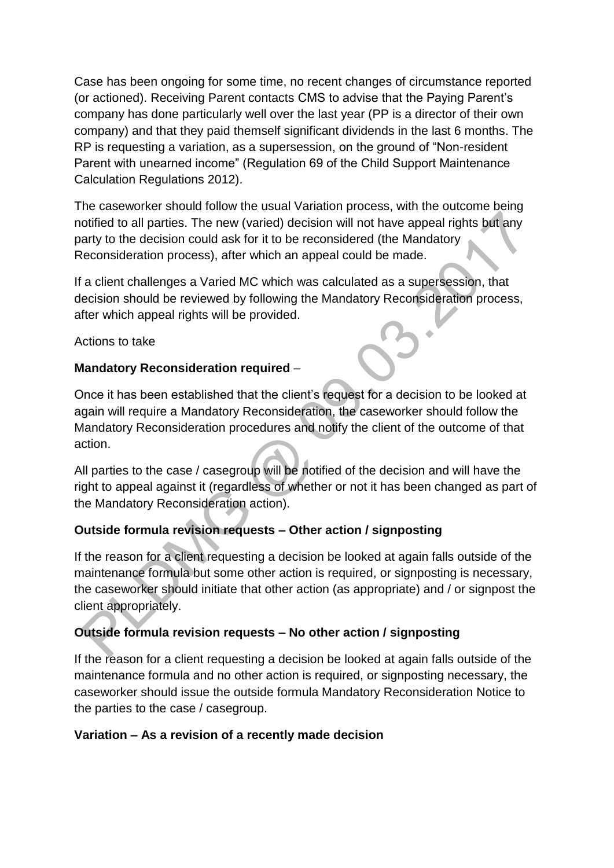Case has been ongoing for some time, no recent changes of circumstance reported (or actioned). Receiving Parent contacts CMS to advise that the Paying Parent's company has done particularly well over the last year (PP is a director of their own company) and that they paid themself significant dividends in the last 6 months. The RP is requesting a variation, as a supersession, on the ground of "Non-resident Parent with unearned income" (Regulation 69 of the Child Support Maintenance Calculation Regulations 2012).

The caseworker should follow the usual Variation process, with the outcome being notified to all parties. The new (varied) decision will not have appeal rights but any party to the decision could ask for it to be reconsidered (the Mandatory Reconsideration process), after which an appeal could be made.

If a client challenges a Varied MC which was calculated as a supersession, that decision should be reviewed by following the Mandatory Reconsideration process, after which appeal rights will be provided.

Actions to take

# **Mandatory Reconsideration required** –

Once it has been established that the client's request for a decision to be looked at again will require a Mandatory Reconsideration, the caseworker should follow the Mandatory Reconsideration procedures and notify the client of the outcome of that action.

All parties to the case / casegroup will be notified of the decision and will have the right to appeal against it (regardless of whether or not it has been changed as part of the Mandatory Reconsideration action).

# **Outside formula revision requests – Other action / signposting**

If the reason for a client requesting a decision be looked at again falls outside of the maintenance formula but some other action is required, or signposting is necessary, the caseworker should initiate that other action (as appropriate) and / or signpost the client appropriately.

# **Outside formula revision requests – No other action / signposting**

If the reason for a client requesting a decision be looked at again falls outside of the maintenance formula and no other action is required, or signposting necessary, the caseworker should issue the outside formula Mandatory Reconsideration Notice to the parties to the case / casegroup.

#### **Variation – As a revision of a recently made decision**